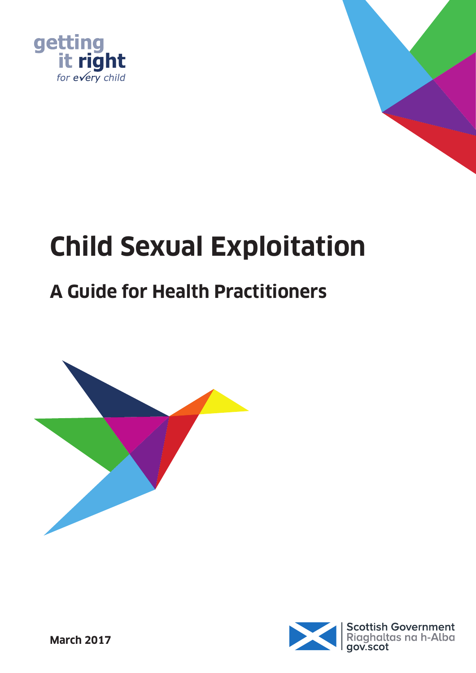



# **Child Sexual Exploitation**

# **A Guide for Health Practitioners**



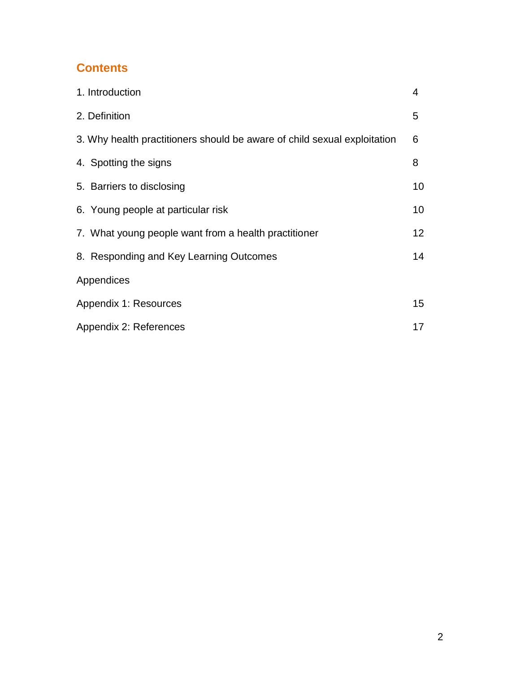# **Contents**

| 1. Introduction                                                          | 4  |
|--------------------------------------------------------------------------|----|
| 2. Definition                                                            | 5  |
| 3. Why health practitioners should be aware of child sexual exploitation | 6  |
| 4. Spotting the signs                                                    | 8  |
| 5. Barriers to disclosing                                                | 10 |
| 6. Young people at particular risk                                       | 10 |
| 7. What young people want from a health practitioner                     | 12 |
| 8. Responding and Key Learning Outcomes                                  | 14 |
| Appendices                                                               |    |
| Appendix 1: Resources                                                    | 15 |
| Appendix 2: References                                                   | 17 |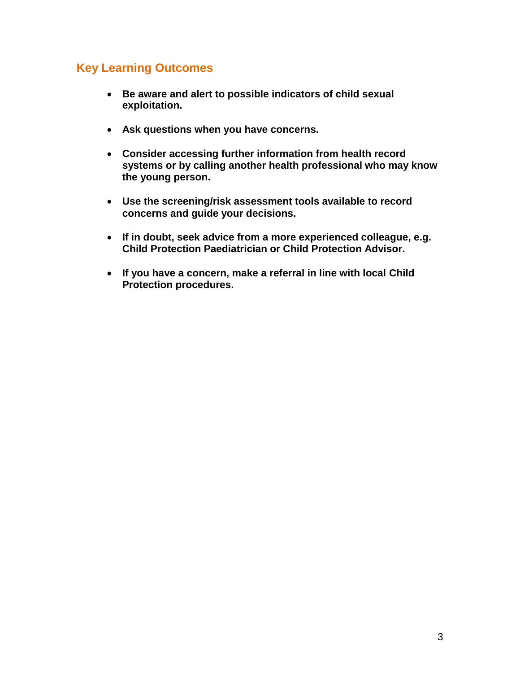# **Key Learning Outcomes**

- **Be aware and alert to possible indicators of child sexual exploitation.**
- **Ask questions when you have concerns.**
- **Consider accessing further information from health record systems or by calling another health professional who may know the young person.**
- **Use the screening/risk assessment tools available to record concerns and guide your decisions.**
- **If in doubt, seek advice from a more experienced colleague, e.g. Child Protection Paediatrician or Child Protection Advisor.**
- **If you have a concern, make a referral in line with local Child Protection procedures.**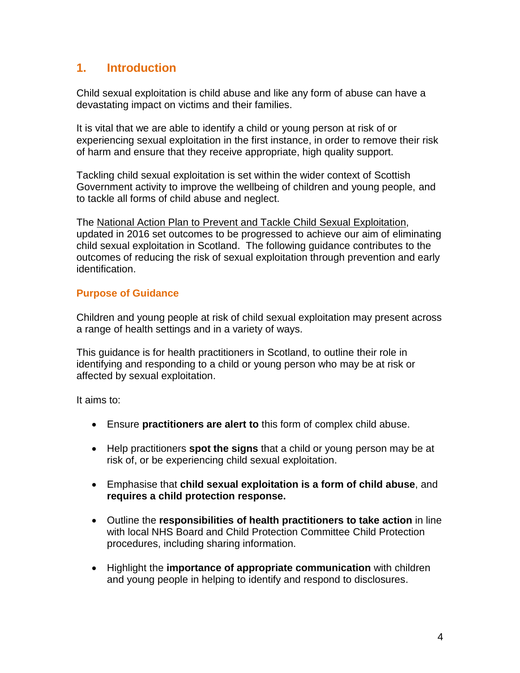### **1. Introduction**

Child sexual exploitation is child abuse and like any form of abuse can have a devastating impact on victims and their families.

It is vital that we are able to identify a child or young person at risk of or experiencing sexual exploitation in the first instance, in order to remove their risk of harm and ensure that they receive appropriate, high quality support.

Tackling child sexual exploitation is set within the wider context of Scottish Government activity to improve the wellbeing of children and young people, and to tackle all forms of child abuse and neglect.

The [National Action Plan to Prevent and Tackle Child Sexual Exploitation,](http://www.gov.scot/Resource/0049/00497283.pdf) updated in 2016 set outcomes to be progressed to achieve our aim of eliminating child sexual exploitation in Scotland. The following guidance contributes to the outcomes of reducing the risk of sexual exploitation through prevention and early identification.

#### **Purpose of Guidance**

Children and young people at risk of child sexual exploitation may present across a range of health settings and in a variety of ways.

This guidance is for health practitioners in Scotland, to outline their role in identifying and responding to a child or young person who may be at risk or affected by sexual exploitation.

It aims to:

- Ensure **practitioners are alert to** this form of complex child abuse.
- Help practitioners **spot the signs** that a child or young person may be at risk of, or be experiencing child sexual exploitation.
- Emphasise that **child sexual exploitation is a form of child abuse**, and **requires a child protection response.**
- Outline the **responsibilities of health practitioners to take action** in line with local NHS Board and Child Protection Committee Child Protection procedures, including sharing information.
- Highlight the **importance of appropriate communication** with children and young people in helping to identify and respond to disclosures.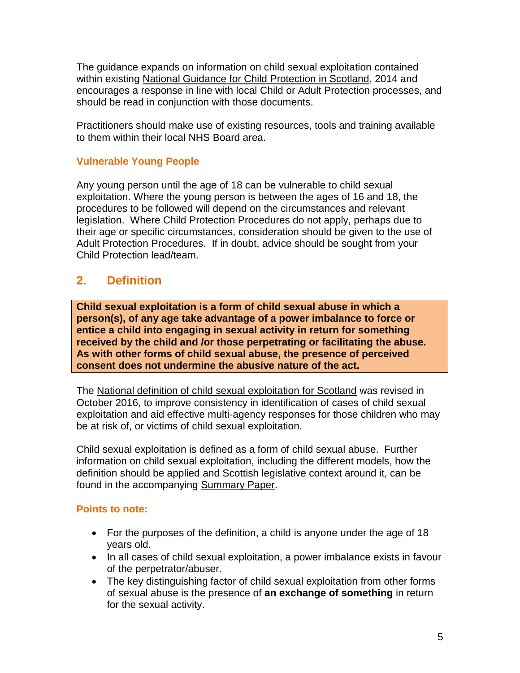The guidance expands on information on child sexual exploitation contained within existing [National Guidance for Child Protection in Scotland,](http://www.gov.scot/Resource/0045/00450733.pdf) 2014 and encourages a response in line with local Child or Adult Protection processes, and should be read in conjunction with those documents.

Practitioners should make use of existing resources, tools and training available to them within their local NHS Board area.

#### **Vulnerable Young People**

Any young person until the age of 18 can be vulnerable to child sexual exploitation. Where the young person is between the ages of 16 and 18, the procedures to be followed will depend on the circumstances and relevant legislation. Where Child Protection Procedures do not apply, perhaps due to their age or specific circumstances, consideration should be given to the use of Adult Protection Procedures. If in doubt, advice should be sought from your Child Protection lead/team.

# **2. Definition**

**Child sexual exploitation is a form of child sexual abuse in which a person(s), of any age take advantage of a power imbalance to force or entice a child into engaging in sexual activity in return for something received by the child and /or those perpetrating or facilitating the abuse. As with other forms of child sexual abuse, the presence of perceived consent does not undermine the abusive nature of the act.**

The [National definition of child sexual exploitation for Scotland](http://www.gov.scot/Resource/0050/00508563.pdf) was revised in October 2016, to improve consistency in identification of cases of child sexual exploitation and aid effective multi-agency responses for those children who may be at risk of, or victims of child sexual exploitation.

Child sexual exploitation is defined as a form of child sexual abuse. Further information on child sexual exploitation, including the different models, how the definition should be applied and Scottish legislative context around it, can be found in the accompanying [Summary Paper.](http://www.gov.scot/Resource/0050/00508567.pdf)

#### **Points to note:**

- For the purposes of the definition, a child is anyone under the age of 18 years old.
- In all cases of child sexual exploitation, a power imbalance exists in favour of the perpetrator/abuser.
- The key distinguishing factor of child sexual exploitation from other forms of sexual abuse is the presence of **an exchange of something** in return for the sexual activity.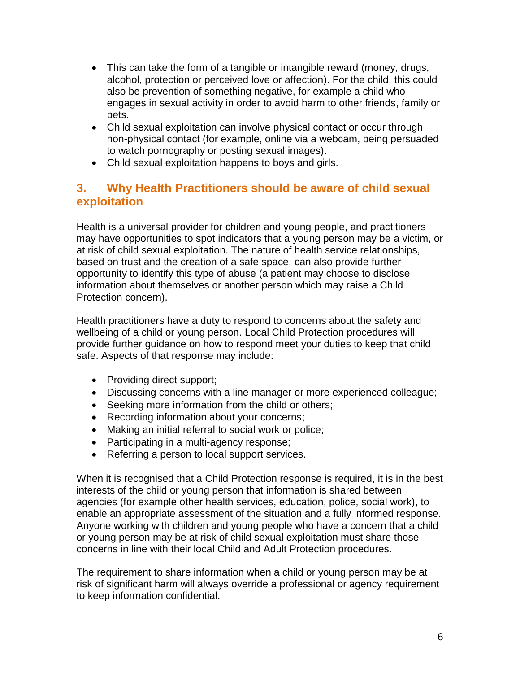- This can take the form of a tangible or intangible reward (money, drugs, alcohol, protection or perceived love or affection). For the child, this could also be prevention of something negative, for example a child who engages in sexual activity in order to avoid harm to other friends, family or pets.
- Child sexual exploitation can involve physical contact or occur through non-physical contact (for example, online via a webcam, being persuaded to watch pornography or posting sexual images).
- Child sexual exploitation happens to boys and girls.

# **3. Why Health Practitioners should be aware of child sexual exploitation**

Health is a universal provider for children and young people, and practitioners may have opportunities to spot indicators that a young person may be a victim, or at risk of child sexual exploitation. The nature of health service relationships, based on trust and the creation of a safe space, can also provide further opportunity to identify this type of abuse (a patient may choose to disclose information about themselves or another person which may raise a Child Protection concern).

Health practitioners have a duty to respond to concerns about the safety and wellbeing of a child or young person. Local Child Protection procedures will provide further guidance on how to respond meet your duties to keep that child safe. Aspects of that response may include:

- Providing direct support;
- Discussing concerns with a line manager or more experienced colleague;
- Seeking more information from the child or others;
- Recording information about your concerns;
- Making an initial referral to social work or police;
- Participating in a multi-agency response;
- Referring a person to local support services.

When it is recognised that a Child Protection response is required, it is in the best interests of the child or young person that information is shared between agencies (for example other health services, education, police, social work), to enable an appropriate assessment of the situation and a fully informed response. Anyone working with children and young people who have a concern that a child or young person may be at risk of child sexual exploitation must share those concerns in line with their local Child and Adult Protection procedures.

The requirement to share information when a child or young person may be at risk of significant harm will always override a professional or agency requirement to keep information confidential.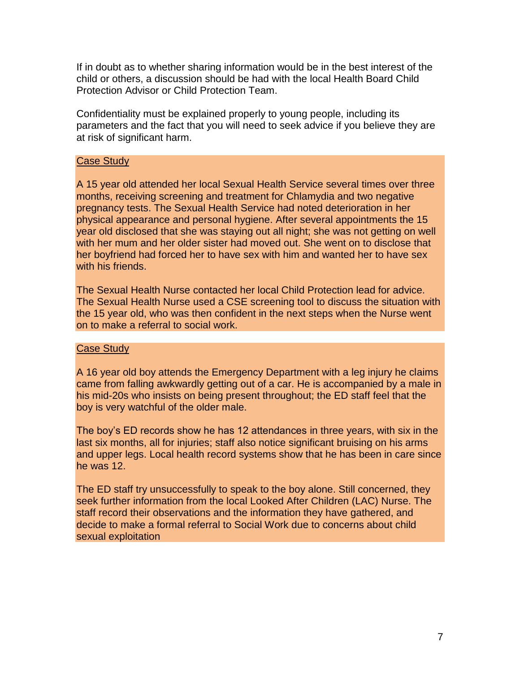If in doubt as to whether sharing information would be in the best interest of the child or others, a discussion should be had with the local Health Board Child Protection Advisor or Child Protection Team.

Confidentiality must be explained properly to young people, including its parameters and the fact that you will need to seek advice if you believe they are at risk of significant harm.

#### Case Study

A 15 year old attended her local Sexual Health Service several times over three months, receiving screening and treatment for Chlamydia and two negative pregnancy tests. The Sexual Health Service had noted deterioration in her physical appearance and personal hygiene. After several appointments the 15 year old disclosed that she was staying out all night; she was not getting on well with her mum and her older sister had moved out. She went on to disclose that her boyfriend had forced her to have sex with him and wanted her to have sex with his friends.

The Sexual Health Nurse contacted her local Child Protection lead for advice. The Sexual Health Nurse used a CSE screening tool to discuss the situation with the 15 year old, who was then confident in the next steps when the Nurse went on to make a referral to social work.

#### Case Study

A 16 year old boy attends the Emergency Department with a leg injury he claims came from falling awkwardly getting out of a car. He is accompanied by a male in his mid-20s who insists on being present throughout; the ED staff feel that the boy is very watchful of the older male.

The boy"s ED records show he has 12 attendances in three years, with six in the last six months, all for injuries; staff also notice significant bruising on his arms and upper legs. Local health record systems show that he has been in care since he was 12.

The ED staff try unsuccessfully to speak to the boy alone. Still concerned, they seek further information from the local Looked After Children (LAC) Nurse. The staff record their observations and the information they have gathered, and decide to make a formal referral to Social Work due to concerns about child sexual exploitation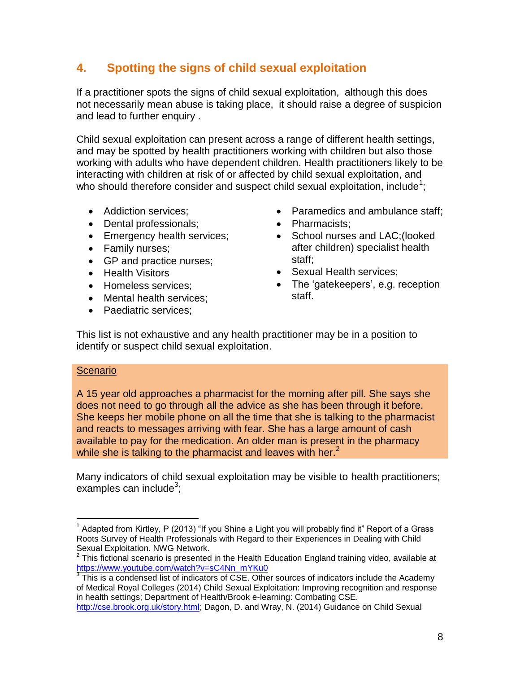# **4. Spotting the signs of child sexual exploitation**

If a practitioner spots the signs of child sexual exploitation, although this does not necessarily mean abuse is taking place, it should raise a degree of suspicion and lead to further enquiry .

Child sexual exploitation can present across a range of different health settings, and may be spotted by health practitioners working with children but also those working with adults who have dependent children. Health practitioners likely to be interacting with children at risk of or affected by child sexual exploitation, and who should therefore consider and suspect child sexual exploitation, include<sup>1</sup>;

- Addiction services:
- Dental professionals;
- Emergency health services;
- Family nurses;
- GP and practice nurses;
- Health Visitors
- Homeless services;
- Mental health services:
- Paediatric services;
- Paramedics and ambulance staff;
- Pharmacists:
- School nurses and LAC; (looked after children) specialist health staff;
- Sexual Health services:
- The 'gatekeepers', e.g. reception staff.

This list is not exhaustive and any health practitioner may be in a position to identify or suspect child sexual exploitation.

#### **Scenario**

A 15 year old approaches a pharmacist for the morning after pill. She says she does not need to go through all the advice as she has been through it before. She keeps her mobile phone on all the time that she is talking to the pharmacist and reacts to messages arriving with fear. She has a large amount of cash available to pay for the medication. An older man is present in the pharmacy while she is talking to the pharmacist and leaves with her. $2$ 

Many indicators of child sexual exploitation may be visible to health practitioners; examples can include<sup>3</sup>;

 $\overline{a}$ <sup>1</sup> Adapted from Kirtley, P (2013) "If you Shine a Light you will probably find it" Report of a Grass Roots Survey of Health Professionals with Regard to their Experiences in Dealing with Child Sexual Exploitation. NWG Network.

 $2$  This fictional scenario is presented in the Health Education England training video, available at [https://www.youtube.com/watch?v=sC4Nn\\_mYKu0](https://www.youtube.com/watch?v=sC4Nn_mYKu0)

 $3$  This is a condensed list of indicators of CSE. Other sources of indicators include the Academy of Medical Royal Colleges (2014) Child Sexual Exploitation: Improving recognition and response in health settings; Department of Health/Brook e-learning: Combating CSE.

[http://cse.brook.org.uk/story.html;](http://cse.brook.org.uk/story.html) Dagon, D. and Wray, N. (2014) Guidance on Child Sexual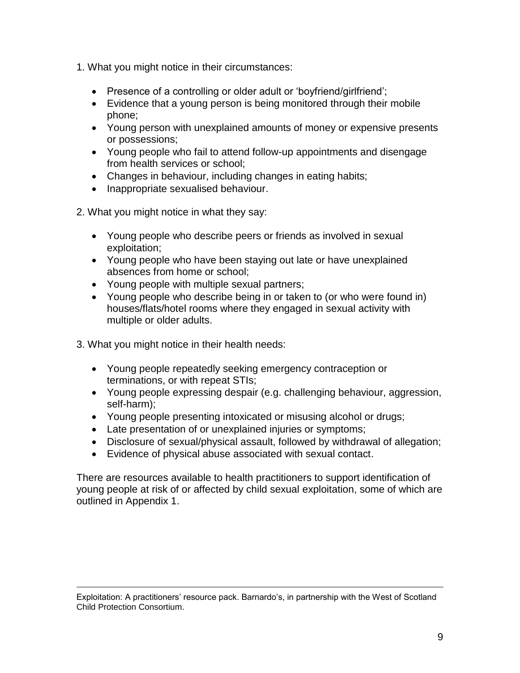- 1. What you might notice in their circumstances:
	- Presence of a controlling or older adult or 'boyfriend/girlfriend';
	- Evidence that a young person is being monitored through their mobile phone;
	- Young person with unexplained amounts of money or expensive presents or possessions;
	- Young people who fail to attend follow-up appointments and disengage from health services or school;
	- Changes in behaviour, including changes in eating habits;
	- Inappropriate sexualised behaviour.
- 2. What you might notice in what they say:
	- Young people who describe peers or friends as involved in sexual exploitation;
	- Young people who have been staying out late or have unexplained absences from home or school;
	- Young people with multiple sexual partners;
	- Young people who describe being in or taken to (or who were found in) houses/flats/hotel rooms where they engaged in sexual activity with multiple or older adults.
- 3. What you might notice in their health needs:

 $\overline{a}$ 

- Young people repeatedly seeking emergency contraception or terminations, or with repeat STIs;
- Young people expressing despair (e.g. challenging behaviour, aggression, self-harm);
- Young people presenting intoxicated or misusing alcohol or drugs;
- Late presentation of or unexplained injuries or symptoms;
- Disclosure of sexual/physical assault, followed by withdrawal of allegation;
- Evidence of physical abuse associated with sexual contact.

There are resources available to health practitioners to support identification of young people at risk of or affected by child sexual exploitation, some of which are outlined in Appendix 1.

Exploitation: A practitioners" resource pack. Barnardo"s, in partnership with the West of Scotland Child Protection Consortium.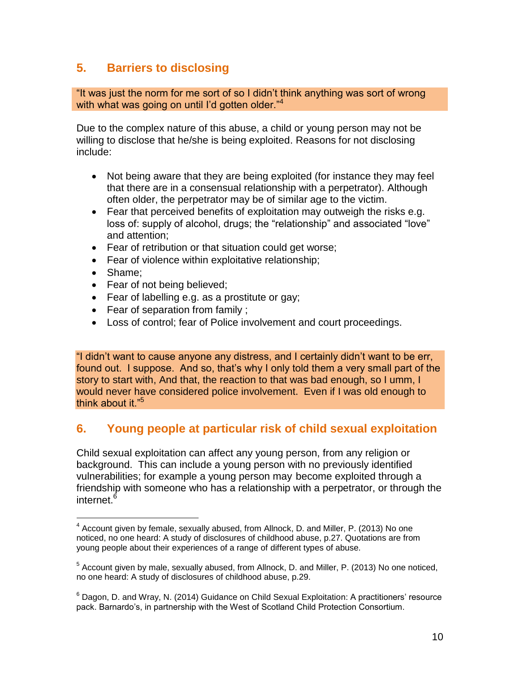# **5. Barriers to disclosing**

"It was just the norm for me sort of so I didn"t think anything was sort of wrong with what was going on until I'd gotten older."<sup>4</sup>

Due to the complex nature of this abuse, a child or young person may not be willing to disclose that he/she is being exploited. Reasons for not disclosing include:

- Not being aware that they are being exploited (for instance they may feel that there are in a consensual relationship with a perpetrator). Although often older, the perpetrator may be of similar age to the victim.
- Fear that perceived benefits of exploitation may outweigh the risks e.g. loss of: supply of alcohol, drugs; the "relationship" and associated "love" and attention;
- Fear of retribution or that situation could get worse;
- Fear of violence within exploitative relationship;
- Shame;
- Fear of not being believed;
- Fear of labelling e.g. as a prostitute or gay;
- Fear of separation from family ;
- Loss of control; fear of Police involvement and court proceedings.

"I didn"t want to cause anyone any distress, and I certainly didn"t want to be err, found out. I suppose. And so, that"s why I only told them a very small part of the story to start with, And that, the reaction to that was bad enough, so I umm, I would never have considered police involvement. Even if I was old enough to think about it."<sup>5</sup>

# **6. Young people at particular risk of child sexual exploitation**

Child sexual exploitation can affect any young person, from any religion or background. This can include a young person with no previously identified vulnerabilities; for example a young person may become exploited through a friendship with someone who has a relationship with a perpetrator, or through the internet.<sup>6</sup>

<sup>&</sup>lt;sup>4</sup> Account given by female, sexually abused, from Allnock, D. and Miller, P. (2013) No one noticed, no one heard: A study of disclosures of childhood abuse, p.27. Quotations are from young people about their experiences of a range of different types of abuse.

<sup>&</sup>lt;sup>5</sup> Account given by male, sexually abused, from Allnock, D. and Miller, P. (2013) No one noticed, no one heard: A study of disclosures of childhood abuse, p.29.

 $^6$  Dagon, D. and Wray, N. (2014) Guidance on Child Sexual Exploitation: A practitioners' resource pack. Barnardo"s, in partnership with the West of Scotland Child Protection Consortium.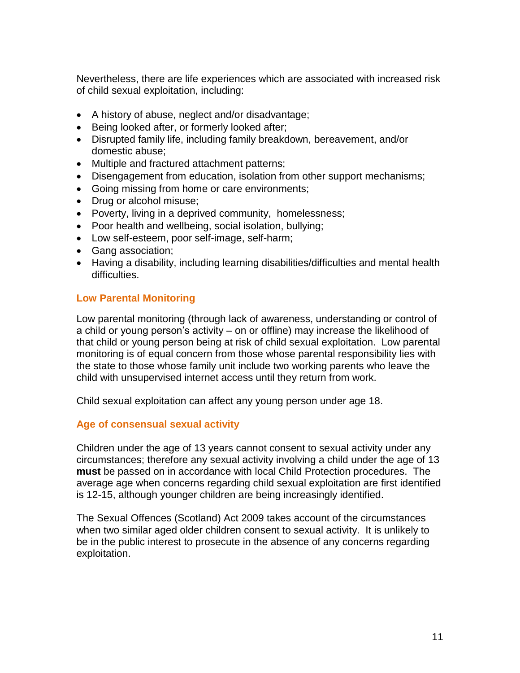Nevertheless, there are life experiences which are associated with increased risk of child sexual exploitation, including:

- A history of abuse, neglect and/or disadvantage;
- Being looked after, or formerly looked after:
- Disrupted family life, including family breakdown, bereavement, and/or domestic abuse;
- Multiple and fractured attachment patterns;
- Disengagement from education, isolation from other support mechanisms;
- Going missing from home or care environments;
- Drug or alcohol misuse;
- Poverty, living in a deprived community, homelessness;
- Poor health and wellbeing, social isolation, bullying;
- Low self-esteem, poor self-image, self-harm;
- Gang association;
- Having a disability, including learning disabilities/difficulties and mental health difficulties.

#### **Low Parental Monitoring**

Low parental monitoring (through lack of awareness, understanding or control of a child or young person"s activity – on or offline) may increase the likelihood of that child or young person being at risk of child sexual exploitation. Low parental monitoring is of equal concern from those whose parental responsibility lies with the state to those whose family unit include two working parents who leave the child with unsupervised internet access until they return from work.

Child sexual exploitation can affect any young person under age 18.

#### **Age of consensual sexual activity**

Children under the age of 13 years cannot consent to sexual activity under any circumstances; therefore any sexual activity involving a child under the age of 13 **must** be passed on in accordance with local Child Protection procedures. The average age when concerns regarding child sexual exploitation are first identified is 12-15, although younger children are being increasingly identified.

The Sexual Offences (Scotland) Act 2009 takes account of the circumstances when two similar aged older children consent to sexual activity. It is unlikely to be in the public interest to prosecute in the absence of any concerns regarding exploitation.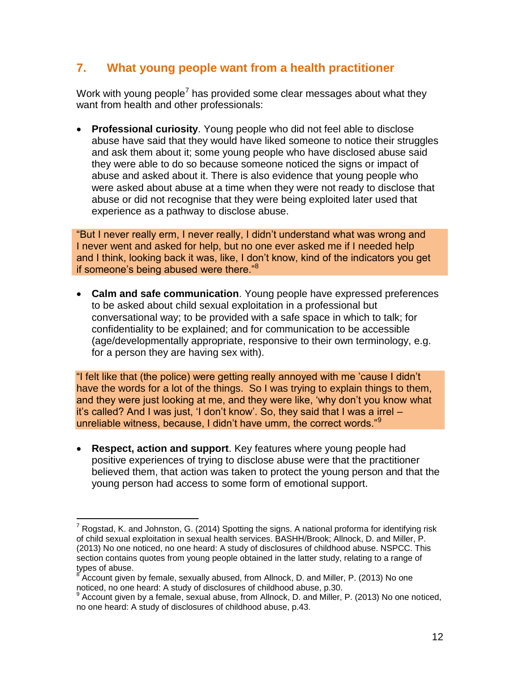# **7. What young people want from a health practitioner**

Work with young people<sup>7</sup> has provided some clear messages about what they want from health and other professionals:

 **Professional curiosity**. Young people who did not feel able to disclose abuse have said that they would have liked someone to notice their struggles and ask them about it; some young people who have disclosed abuse said they were able to do so because someone noticed the signs or impact of abuse and asked about it. There is also evidence that young people who were asked about abuse at a time when they were not ready to disclose that abuse or did not recognise that they were being exploited later used that experience as a pathway to disclose abuse.

"But I never really erm, I never really, I didn"t understand what was wrong and I never went and asked for help, but no one ever asked me if I needed help and I think, looking back it was, like, I don"t know, kind of the indicators you get if someone's being abused were there."<sup>8</sup>

 **Calm and safe communication**. Young people have expressed preferences to be asked about child sexual exploitation in a professional but conversational way; to be provided with a safe space in which to talk; for confidentiality to be explained; and for communication to be accessible (age/developmentally appropriate, responsive to their own terminology, e.g. for a person they are having sex with).

"I felt like that (the police) were getting really annoyed with me "cause I didn"t have the words for a lot of the things. So I was trying to explain things to them, and they were just looking at me, and they were like, "why don"t you know what it"s called? And I was just, "I don"t know". So, they said that I was a irrel – unreliable witness, because, I didn't have umm, the correct words."<sup>9</sup>

 **Respect, action and support**. Key features where young people had positive experiences of trying to disclose abuse were that the practitioner believed them, that action was taken to protect the young person and that the young person had access to some form of emotional support.

<sup>&</sup>lt;sup>7</sup> Rogstad, K. and Johnston, G. (2014) Spotting the signs. A national proforma for identifying risk of child sexual exploitation in sexual health services. BASHH/Brook; Allnock, D. and Miller, P. (2013) No one noticed, no one heard: A study of disclosures of childhood abuse. NSPCC. This section contains quotes from young people obtained in the latter study, relating to a range of types of abuse.<br><sup>8</sup> Account given

Account given by female, sexually abused, from Allnock, D. and Miller, P. (2013) No one noticed, no one heard: A study of disclosures of childhood abuse, p.30.<br>9 Assembly this his famele, sexual abuse, from Allpeel's D, and Miller.

Account given by a female, sexual abuse, from Allnock, D. and Miller, P. (2013) No one noticed, no one heard: A study of disclosures of childhood abuse, p.43.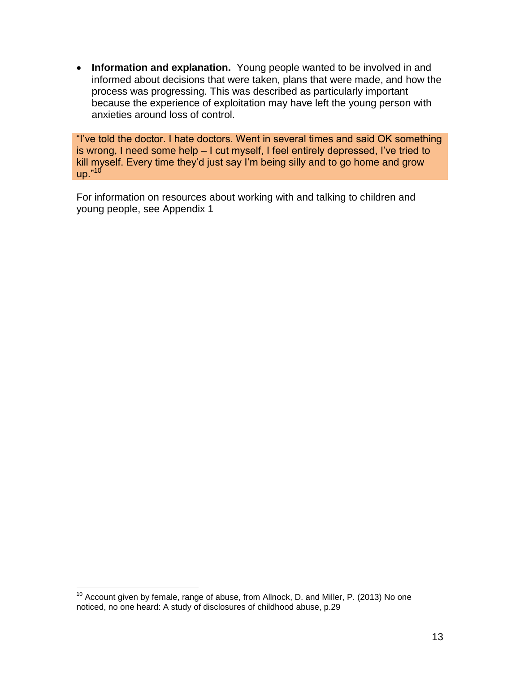**Information and explanation.** Young people wanted to be involved in and informed about decisions that were taken, plans that were made, and how the process was progressing. This was described as particularly important because the experience of exploitation may have left the young person with anxieties around loss of control.

"I"ve told the doctor. I hate doctors. Went in several times and said OK something is wrong, I need some help - I cut myself, I feel entirely depressed, I've tried to kill myself. Every time they'd just say I'm being silly and to go home and grow up." $10$ 

For information on resources about working with and talking to children and young people, see Appendix 1

 $\overline{a}$  $10$  Account given by female, range of abuse, from Allnock, D. and Miller, P. (2013) No one noticed, no one heard: A study of disclosures of childhood abuse, p.29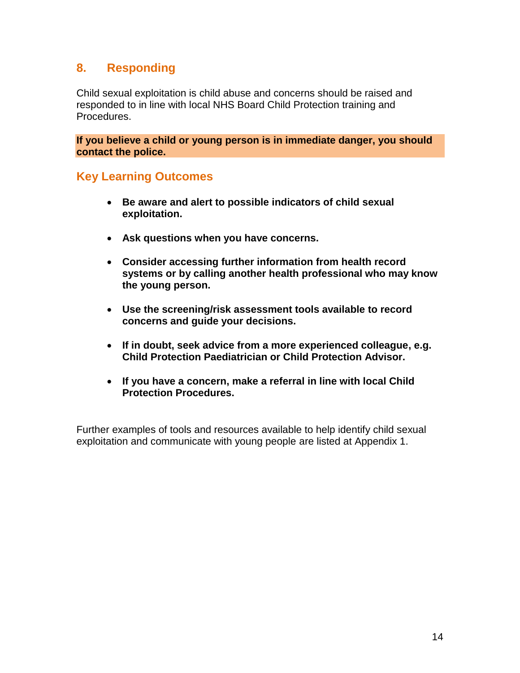# **8. Responding**

Child sexual exploitation is child abuse and concerns should be raised and responded to in line with local NHS Board Child Protection training and Procedures.

**If you believe a child or young person is in immediate danger, you should contact the police.**

### **Key Learning Outcomes**

- **Be aware and alert to possible indicators of child sexual exploitation.**
- **Ask questions when you have concerns.**
- **Consider accessing further information from health record systems or by calling another health professional who may know the young person.**
- **Use the screening/risk assessment tools available to record concerns and guide your decisions.**
- **If in doubt, seek advice from a more experienced colleague, e.g. Child Protection Paediatrician or Child Protection Advisor.**
- **If you have a concern, make a referral in line with local Child Protection Procedures.**

Further examples of tools and resources available to help identify child sexual exploitation and communicate with young people are listed at Appendix 1.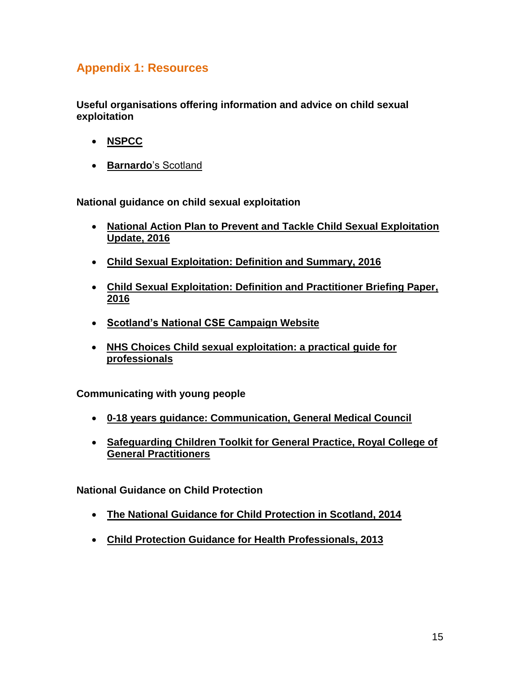# **Appendix 1: Resources**

**Useful organisations offering information and advice on child sexual exploitation** 

- **[NSPCC](https://www.nspcc.org.uk/search/?query=child+exploitation)**
- **Barnardo**["s Scotland](http://www.barnardos.org.uk/search?cx=010239517264350833691%3Aidjo4m7jsci&ie=UTF-8&q=child+sexual+exploitation&qText=child+sexual+exploitation&siteurl=www.barnardos.org.uk%2Fwhat_we_do%2Fcorporate_strategy%2Fscotland.htm&ref=www.google.co.uk%2Furl%3Fsa%3Dt%26rct%3Dj%26q%3D%26esrc%3Ds%26source%3Dweb%26cd%3D1%26ved%3D0ahUKEwjYo5PZv_vSAhUlLMAKHTtJBk8QFggnMAA%26url%3Dhttp%253A%252F%252Fwww.barnardos.org.uk%252Fwhat_we_do%252Fcorporate_strategy%252Fscotland.htm%26usg%3DAFQjCNE53ioWa20TXoe4sunS3mCNR5cZrg%26sig2%3DjPnhATprRW_xz_B0YDJwpA%26bvm%3Dbv.150729734%2Cd.d24&ss=)

**National guidance on child sexual exploitation**

- **[National Action Plan to Prevent and Tackle Child Sexual Exploitation](http://www.gov.scot/Resource/0049/00497283.pdf)  [Update, 2016](http://www.gov.scot/Resource/0049/00497283.pdf)**
- **[Child Sexual Exploitation: Definition and Summary,](https://beta.gov.scot/publications/child-sexual-exploitation-definition-summary/) 2016**
- **[Child Sexual Exploitation: Definition and Practitioner Briefing Paper,](http://www.gov.scot/Publications/2016/10/8235) 2016**
- **[Scotland's National CSE Campaign Website](http://www.csethesigns.scot/)**
- **[NHS Choices Child sexual exploitation: a practical guide for](http://www.nhs.uk/Livewell/abuse/Pages/child-sexual-abuse.aspx)  [professionals](http://www.nhs.uk/Livewell/abuse/Pages/child-sexual-abuse.aspx)**

**Communicating with young people**

- **[0-18 years guidance: Communication, General Medical Council](http://www.gmc-uk.org/guidance/ethical_guidance/children_guidance_14_21_communication.asp)**
- **[Safeguarding Children Toolkit for General Practice, Royal College of](http://www.rcgp.org.uk/clinical-and-research/toolkits/the-rcgp-nspcc-safeguarding-children-toolkit-for-general-practice.aspx)  [General Practitioners](http://www.rcgp.org.uk/clinical-and-research/toolkits/the-rcgp-nspcc-safeguarding-children-toolkit-for-general-practice.aspx)**

**National Guidance on Child Protection**

- **[The National Guidance for Child Protection in Scotland, 2014](http://www.gov.scot/Resource/0045/00450733.pdf)**
- **[Child Protection Guidance for Health Professionals, 2013](http://www.gov.scot/Resource/0041/00411543.pdf)**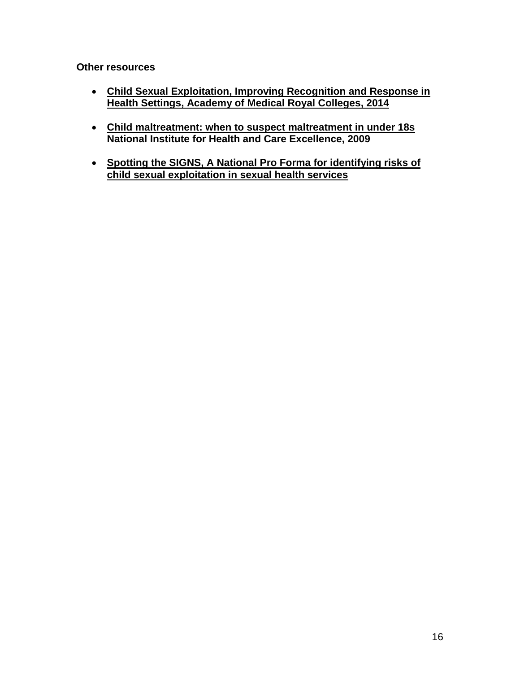**Other resources**

- **[Child Sexual Exploitation, Improving Recognition and Response in](http://www.aomrc.org.uk/wp-content/uploads/2016/05/Child_Sexual_Exploitation_0914.pdf)  [Health Settings, Academy of Medical Royal Colleges, 2014](http://www.aomrc.org.uk/wp-content/uploads/2016/05/Child_Sexual_Exploitation_0914.pdf)**
- **[Child maltreatment: when to suspect maltreatment in under 18s](https://www.nice.org.uk/guidance/CG89) National Institute for Health and Care Excellence, 2009**
- **[Spotting the SIGNS, A National Pro Forma for identifying risks of](https://www.bashh.org/documents/Spotting-the-signs-A%20national%20proforma%20Apr2014.pdf)  [child sexual exploitation in sexual health services](https://www.bashh.org/documents/Spotting-the-signs-A%20national%20proforma%20Apr2014.pdf)**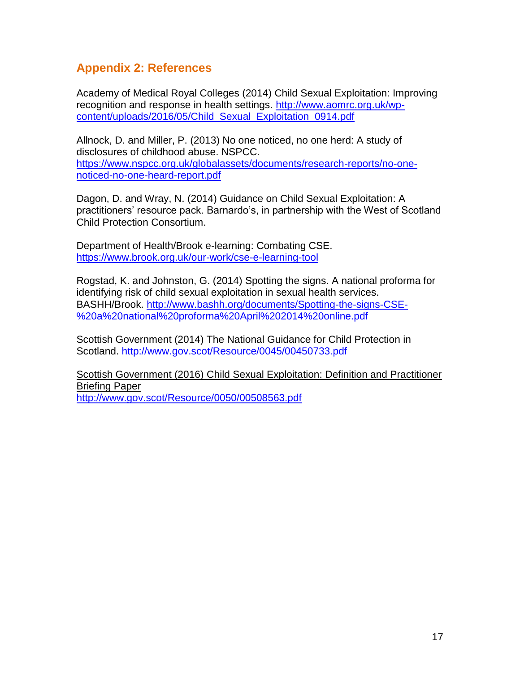# **Appendix 2: References**

Academy of Medical Royal Colleges (2014) Child Sexual Exploitation: Improving recognition and response in health settings. [http://www.aomrc.org.uk/wp](http://www.aomrc.org.uk/wp-content/uploads/2016/05/Child_Sexual_Exploitation_0914.pdf)[content/uploads/2016/05/Child\\_Sexual\\_Exploitation\\_0914.pdf](http://www.aomrc.org.uk/wp-content/uploads/2016/05/Child_Sexual_Exploitation_0914.pdf)

Allnock, D. and Miller, P. (2013) No one noticed, no one herd: A study of disclosures of childhood abuse. NSPCC. [https://www.nspcc.org.uk/globalassets/documents/research-reports/no-one](https://www.nspcc.org.uk/globalassets/documents/research-reports/no-one-noticed-no-one-heard-report.pdf)[noticed-no-one-heard-report.pdf](https://www.nspcc.org.uk/globalassets/documents/research-reports/no-one-noticed-no-one-heard-report.pdf)

Dagon, D. and Wray, N. (2014) Guidance on Child Sexual Exploitation: A practitioners' resource pack. Barnardo's, in partnership with the West of Scotland Child Protection Consortium.

Department of Health/Brook e-learning: Combating CSE. <https://www.brook.org.uk/our-work/cse-e-learning-tool>

Rogstad, K. and Johnston, G. (2014) Spotting the signs. A national proforma for identifying risk of child sexual exploitation in sexual health services. BASHH/Brook. [http://www.bashh.org/documents/Spotting-the-signs-CSE-](http://www.bashh.org/documents/Spotting-the-signs-CSE-%20a%20national%20proforma%20April%202014%20online.pdf) [%20a%20national%20proforma%20April%202014%20online.pdf](http://www.bashh.org/documents/Spotting-the-signs-CSE-%20a%20national%20proforma%20April%202014%20online.pdf)

Scottish Government (2014) The National Guidance for Child Protection in Scotland.<http://www.gov.scot/Resource/0045/00450733.pdf>

Scottish Government (2016) Child Sexual Exploitation: Definition and Practitioner Briefing Paper <http://www.gov.scot/Resource/0050/00508563.pdf>